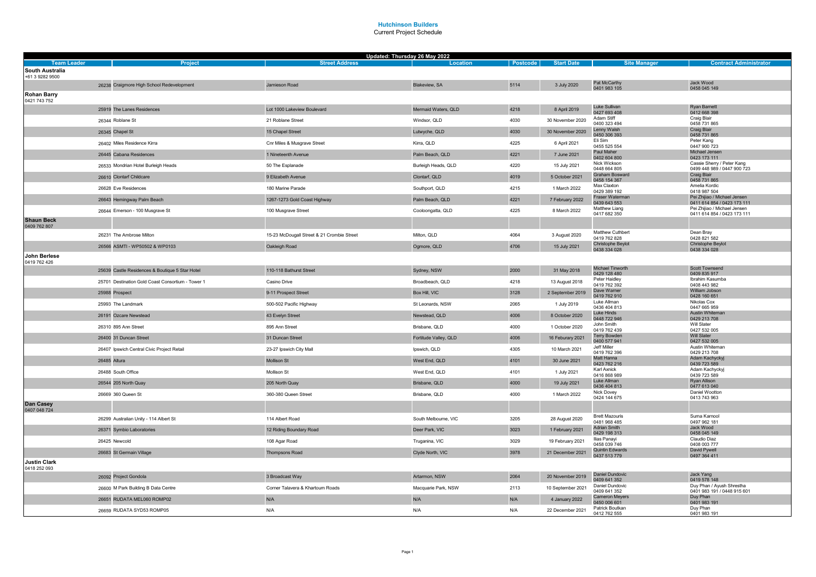|                                              |                                                   | Updated: Thursday 26 May 2022              |                       |          |                   |                                        |                                                             |
|----------------------------------------------|---------------------------------------------------|--------------------------------------------|-----------------------|----------|-------------------|----------------------------------------|-------------------------------------------------------------|
| <b>Team Leader</b><br><b>South Australia</b> | Project                                           | <b>Street Address</b>                      | Location              | Postcode | <b>Start Date</b> | <b>Site Manager</b>                    | <b>Contract Administrator</b>                               |
| +61 3 9282 9500                              |                                                   |                                            |                       |          |                   |                                        |                                                             |
|                                              | 26238 Craigmore High School Redevelopment         | Jamieson Road                              | Blakeview, SA         | 5114     | 3 July 2020       | Pat McCarthy<br>0401 983 105           | Jack Wood<br>0458 045 149                                   |
| <b>Rohan Barry</b><br>0421 743 752           |                                                   |                                            |                       |          |                   |                                        |                                                             |
|                                              | 25919 The Lanes Residences                        | Lot 1000 Lakeview Boulevard                | Mermaid Waters, QLD   | 4218     | 8 April 2019      | Luke Sullivan<br>0427 693 408          | Ryan Barnett<br>0412 668 398                                |
|                                              | 26344 Roblane St                                  | 21 Roblane Street                          | Windsor, QLD          | 4030     | 30 November 2020  | Adam Stiff<br>0400 323 494             | Craig Blair<br>0458 731 865                                 |
|                                              | 26345 Chapel St                                   | 15 Chapel Street                           | Lutwyche, QLD         | 4030     | 30 November 2020  | Lenny Walsh<br>0450 306 393            | Craig Blair<br>0458 731 865                                 |
|                                              | 26402 Miles Residence Kirra                       | Cnr Miles & Musgrave Street                | Kirra, QLD            | 4225     | 6 April 2021      | Eli Sim<br>0455 525 554                | Peter Kang<br>0447 900 723                                  |
|                                              | 26445 Cabana Residences                           | 1 Nineteenth Avenue                        | Palm Beach, QLD       | 4221     | 7 June 2021       | Paul Maher<br>0402 604 800             | Michael Jensen<br>0423 173 111                              |
|                                              | 26533 Mondrian Hotel Burleigh Heads               | 50 The Esplanade                           | Burleigh Heads, QLD   | 4220     | 15 July 2021      | Nick Wickson<br>0448 664 805           | Cassie Sherry / Peter Kang<br>0499 448 989 / 0447 900 723   |
|                                              | 26610 Clontarf Childcare                          | 9 Elizabeth Avenue                         | Clontarf, QLD         | 4019     | 5 October 2021    | Graham Bosward<br>0458 154 367         | Craig Blair<br>0458 731 865                                 |
|                                              | 26628 Eve Residences                              | 180 Marine Parade                          | Southport, QLD        | 4215     | 1 March 2022      | Max Claxton<br>0429 389 192            | Amelia Kordic<br>0418 987 504                               |
|                                              | 26643 Hemingway Palm Beach                        | 1267-1273 Gold Coast Highway               | Palm Beach, QLD       | 4221     | 7 February 2022   | Fraser Waterman<br>0439 643 553        | Pei Zhijiao / Michael Jensen<br>0411 614 854 / 0423 173 111 |
|                                              | 26644 Emerson - 100 Musgrave St                   | 100 Musgrave Street                        | Cooloongatta, QLD     | 4225     | 8 March 2022      | Matthew Liang<br>0417 682 350          | Pei Zhiliao / Michael Jensen<br>0411 614 854 / 0423 173 111 |
| <b>Shaun Beck</b><br>0409 762 807            |                                                   |                                            |                       |          |                   |                                        |                                                             |
|                                              | 26231 The Ambrose Milton                          | 15-23 McDougall Street & 21 Crombie Street | Milton, QLD           | 4064     | 3 August 2020     | Matthew Cuthbert<br>0419 762 828       | Dean Bray<br>0428 821 582                                   |
|                                              | 26566 ASMTI - WP50502 & WP0103                    | Oakleigh Road                              | Ogmore, QLD           | 4706     | 15 July 2021      | Christophe Beylot<br>0438 334 028      | Christophe Beylot<br>0438 334 028                           |
| John Berlese<br>0419 762 426                 |                                                   |                                            |                       |          |                   |                                        |                                                             |
|                                              | 25639 Castle Residences & Boutique 5 Star Hotel   | 110-118 Bathurst Street                    | Sydney, NSW           | 2000     | 31 May 2018       | Michael Tinworth<br>0429 128 480       | <b>Scott Townsend</b><br>0409 835 917                       |
|                                              | 25701 Destination Gold Coast Consortium - Tower 1 | Casino Drive                               | Broadbeach, QLD       | 4218     | 13 August 2018    | Peter Haidley<br>0419 762 392          | Ibrahim Kasumba<br>0408 443 982                             |
|                                              | 25988 Prospect                                    | 9-11 Prospect Street                       | Box Hill, VIC         | 3128     | 2 September 2019  | Dave Warner<br>0419 762 910            | William Jobson<br>0428 160 651                              |
|                                              | 25993 The Landmark                                | 500-502 Pacific Highway                    | St Leonards, NSW      | 2065     | 1 July 2019       | Luke Allman<br>0436 404 813            | Nikolas Cox<br>0447 665 959                                 |
|                                              | 26191 Ozcare Newstead                             | 43 Evelyn Street                           | Newstead, QLD         | 4006     | 8 October 2020    | Luke Hinds<br>0448 722 946             | Austin Whiteman<br>0429 213 708                             |
|                                              | 26310 895 Ann Street                              | 895 Ann Street                             | Brisbane, QLD         | 4000     | 1 October 2020    | John Smith<br>0419 762 439             | Will Slater<br>0427 532 005                                 |
|                                              | 26400 31 Duncan Street                            | 31 Duncan Street                           | Fortitude Valley, QLD | 4006     | 16 Feburary 2021  | <b>Terry Bowden</b><br>0400 577 941    | Will Slater<br>0427 532 005                                 |
|                                              | 26407 Ipswich Central Civic Project Retail        | 23-27 Ipswich City Mall                    | Ipswich, QLD          | 4305     | 10 March 2021     | Jeff Miller<br>0419 762 396            | Austin Whiteman<br>0429 213 708                             |
|                                              | 26485 Altura                                      | Mollison St                                | West End, QLD         | 4101     | 30 June 2021      | Matt Hanna<br>0423 762 216             | Adam Kachyckyj<br>0439 723 589                              |
|                                              | 26488 South Office                                | Mollison St                                | West End. QLD         | 4101     | 1 July 2021       | Karl Axnick<br>0416 868 989            | Adam Kachyckyj<br>0439 723 589                              |
|                                              | 26544 205 North Quay                              | 205 North Quay                             | Brisbane, QLD         | 4000     | 19 July 2021      | Luke Allman<br>0436 404 813            | Ryan Allison                                                |
|                                              | 26669 360 Queen St                                | 360-380 Queen Street                       | Brisbane, QLD         | 4000     | 1 March 2022      | Nick Dovey                             | 0477 613 040<br>Daniel Wootton                              |
| Dan Casey<br>0407 048 724                    |                                                   |                                            |                       |          |                   | 0424 144 675                           | 0413 743 963                                                |
|                                              | 26299 Australian Unity - 114 Albert St            | 114 Albert Road                            | South Melbourne, VIC  | 3205     | 28 August 2020    | <b>Brett Mazouris</b><br>0481 968 485  | Suma Karnool<br>0497 962 181                                |
|                                              | 26371 Symbio Laboratories                         | 12 Riding Boundary Road                    | Deer Park, VIC        | 3023     | 1 February 2021   | <b>Adrian Smith</b><br>0429 198 313    | Jack Wood<br>0458 045 149                                   |
|                                              | 26425 Newcold                                     | 108 Agar Road                              | Truganina, VIC        | 3029     | 19 February 2021  | Ilias Panayi<br>0458 039 746           | Claudio Diaz<br>0408 003 777                                |
|                                              | 26683 St Germain Village                          | <b>Thompsons Road</b>                      | Clyde North, VIC      | 3978     | 21 December 2021  | <b>Quintin Edwards</b><br>0437 513 779 | David Pywell<br>0497 364 411                                |
| <b>Justin Clark</b><br>0418 252 093          |                                                   |                                            |                       |          |                   |                                        |                                                             |
|                                              | 26092 Project Gondola                             | 3 Broadcast Way                            | Artarmon, NSW         | 2064     | 20 November 2019  | Daniel Dundovic<br>0409 641 352        | Jack Yang<br>0419 578 148                                   |
|                                              | 26600 M Park Building B Data Centre               | Corner Talavera & Khartoum Roads           | Macquarie Park, NSW   | 2113     | 10 September 2021 | Daniel Dundovic<br>0409 641 352        | Duy Phan / Ayush Shrestha<br>0401 983 191 / 0448 915 601    |
|                                              | 26651 RUDATA MEL060 ROMP02                        | N/A                                        | N/A                   | N/A      | 4 January 2022    | <b>Cameron Meyers</b><br>0450 006 601  | Duy Phan<br>0401 983 191                                    |
|                                              | 26659 RUDATA SYD53 ROMP05                         | N/A                                        | N/A                   | N/A      | 22 December 2021  | Patrick Boutkan<br>0412 762 555        | Duy Phan<br>0401 983 191                                    |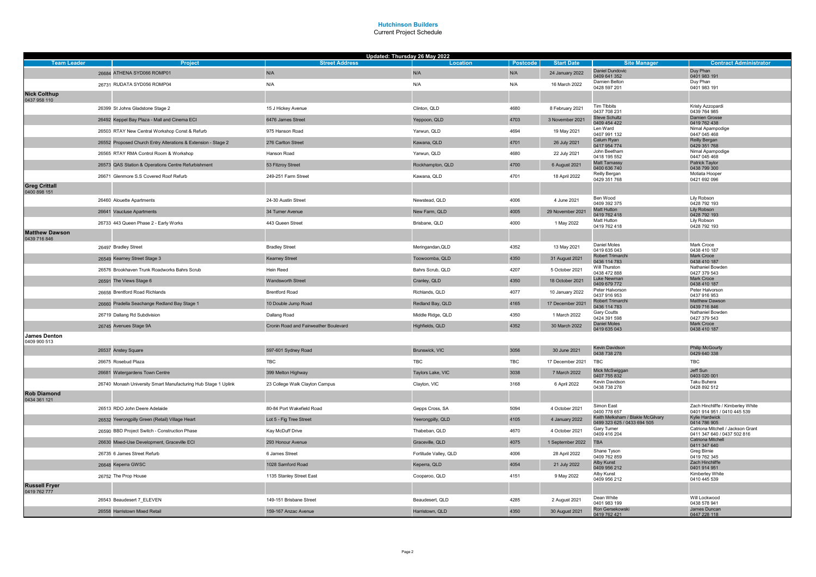|                                       |                                                                | Updated: Thursday 26 May 2022         |                       |            |                   |                                                                  |                                                                  |
|---------------------------------------|----------------------------------------------------------------|---------------------------------------|-----------------------|------------|-------------------|------------------------------------------------------------------|------------------------------------------------------------------|
| <b>Team Leader</b>                    | Project                                                        | <b>Street Address</b>                 | Location              | Postcode   | <b>Start Date</b> | <b>Site Manager</b>                                              | <b>Contract Administrator</b>                                    |
|                                       | 26684 ATHENA SYD066 ROMP01                                     | N/A                                   | N/A                   | N/A        | 24 January 2022   | <b>Daniel Dundovic</b><br>0409 641 352                           | Duy Phan<br>0401 983 191                                         |
|                                       | 26731 RUDATA SYD056 ROMP04                                     | N/A                                   | N/A                   | N/A        | 16 March 2022     | Damien Belton<br>0428 597 201                                    | Duy Phan<br>0401 983 191                                         |
| <b>Nick Colthup</b><br>0437 958 110   |                                                                |                                       |                       |            |                   |                                                                  |                                                                  |
|                                       | 26399 St Johns Gladstone Stage 2                               | 15 J Hickey Avenue                    | Clinton, QLD          | 4680       | 8 February 2021   | Tim TIbbits<br>0437 708 231                                      | Kristy Azzopardi<br>0439 764 985                                 |
|                                       | 26492 Keppel Bay Plaza - Mall and Cinema ECI                   | 6476 James Street                     | Yeppoon, QLD          | 4703       | 3 November 2021   | <b>Steve Schultz</b><br>0409 454 422                             | <b>Damien Grosse</b><br>0419 762 438                             |
|                                       | 26503 RTAY New Central Workshop Const & Refurb                 | 975 Hanson Road                       | Yarwun, QLD           | 4694       | 19 May 2021       | Len Ward<br>0407 991 132                                         | Nimal Apampodige<br>0447 045 468                                 |
|                                       | 26552 Proposed Church Entry Alterations & Extension - Stage 2  | 276 Carlton Street                    | Kawana, QLD           | 4701       | 26 July 2021      | Calum Ryan<br>0417 954 774                                       | Reilly Bergan<br>0429 351 768                                    |
|                                       | 26565 RTAY RMA Control Room & Workshop                         | Hanson Road                           | Yarwun, QLD           | 4680       | 22 July 2021      | John Beetham<br>0418 195 552                                     | Nimal Apampodige<br>0447 045 468                                 |
|                                       | 26573 QAS Station & Operations Centre Refurbishment            | 53 Fitzroy Street                     | Rockhampton, QLD      | 4700       | 6 August 2021     | Matt Tamassy<br>0400 636 740                                     | <b>Patrick Taylor</b><br>0438 799 300                            |
|                                       | 26671 Glenmore S.S Covered Roof Refurb                         | 249-251 Farm Street                   | Kawana, QLD           | 4701       | 18 April 2022     | Reilly Bergan<br>0429 351 768                                    | Motiata Hooper<br>0421 692 096                                   |
| <b>Greg Crittall</b><br>0400 898 151  |                                                                |                                       |                       |            |                   |                                                                  |                                                                  |
|                                       | 26460 Alouette Apartments                                      | 24-30 Austin Street                   | Newstead, QLD         | 4006       | 4 June 2021       | Ben Wood<br>0409 392 375                                         | Lily Robson<br>0428 792 193                                      |
|                                       | 26641 Vaucluse Apartments                                      | 34 Turner Avenue                      | New Farm, QLD         | 4005       | 29 November 2021  | Matt Hutton<br>0419 762 418                                      | Lily Robson<br>0428 792 193                                      |
|                                       | 26733 443 Queen Phase 2 - Early Works                          | 443 Queen Street                      | Brisbane, QLD         | 4000       | 1 May 2022        | Matt Hutton<br>0419 762 418                                      | Lily Robson<br>0428 792 193                                      |
| <b>Matthew Dawson</b><br>0439 716 846 |                                                                |                                       |                       |            |                   |                                                                  |                                                                  |
|                                       | 26497 Bradley Street                                           | <b>Bradley Street</b>                 | Meringandan, QLD      | 4352       | 13 May 2021       | Daniel Moles<br>0419 635 043                                     | Mark Croce<br>0438 410 187                                       |
|                                       | 26549 Kearney Street Stage 3                                   | <b>Kearney Street</b>                 | Toowoomba, QLD        | 4350       | 31 August 2021    | Robert Trimarchi<br>0436 114 783                                 | Mark Croce<br>0438 410 187                                       |
|                                       | 26576 Brookhaven Trunk Roadworks Bahrs Scrub                   | Hein Reed                             | Bahrs Scrub, QLD      | 4207       | 5 October 2021    | Will Thurston<br>0438 472 888                                    | Nathaniel Bowden<br>0427 379 543                                 |
|                                       | 26591 The Views Stage 6                                        | Wandsworth Street                     | Cranley, QLD          | 4350       | 18 October 2021   | Luke Newman<br>0409 679 772                                      | Mark Croce<br>0438 410 187                                       |
|                                       | 26658 Brentford Road Richlands                                 | <b>Brentford Road</b>                 | Richlands, QLD        | 4077       | 10 January 2022   | Peter Halvorson<br>0437 916 953                                  | Peter Halvorson<br>0437 916 953                                  |
|                                       | 26660 Pradella Seachange Redland Bay Stage 1                   | 10 Double Jump Road                   | Redland Bay, QLD      | 4165       | 17 December 2021  | Robert Trimarchi<br>0436 114 783                                 | Matthew Dawson<br>0439 716 846                                   |
|                                       | 26719 Dallang Rd Subdivision                                   | Dallang Road                          | Middle Ridge, QLD     | 4350       | 1 March 2022      | Gary Coutts<br>0424 391 598                                      | Nathaniel Bowden<br>0427 379 543                                 |
|                                       | 26745 Avenues Stage 9A                                         | Cronin Road and Fairweather Boulevard | Highfields, QLD       | 4352       | 30 March 2022     | <b>Daniel Moles</b><br>0419 635 043                              | <b>Mark Croce</b><br>0438 410 187                                |
| <b>James Denton</b><br>0409 900 513   |                                                                |                                       |                       |            |                   |                                                                  |                                                                  |
|                                       | 26537 Anstey Square                                            | 597-601 Sydney Road                   | Brunswick, VIC        | 3056       | 30 June 2021      | Kevin Davidson<br>0438 738 278                                   | <b>Philip McGourty</b><br>0429 640 338                           |
|                                       | 26675 Rosebud Plaza                                            | <b>TBC</b>                            | <b>TBC</b>            | <b>TBC</b> | 17 December 2021  | <b>TBC</b>                                                       | TBC                                                              |
|                                       | 26681 Watergardens Town Centre                                 | 399 Melton Highway                    | Taylors Lake, VIC     | 3038       | 7 March 2022      | Mick McSwiggan<br>0407 755 832                                   | Jeff Sun<br>0403 020 001                                         |
|                                       | 26740 Monash University Smart Manufacturing Hub Stage 1 Uplink | 23 College Walk Clayton Campus        | Clayton, VIC          | 3168       | 6 April 2022      | Kevin Davidson<br>0438 738 278                                   | Taku Buhera<br>0428 892 512                                      |
| <b>Rob Diamond</b><br>0434 361 121    |                                                                |                                       |                       |            |                   |                                                                  |                                                                  |
|                                       | 26513 RDO John Deere Adelaide                                  | 80-84 Port Wakefield Road             | Gepps Cross, SA       | 5094       | 4 October 2021    | Simon East<br>0400 778 657                                       | Zach Hinchliffe / Kimberley White<br>0401 914 951 / 0410 445 539 |
|                                       | 26532 Yeerongpilly Green (Retail) Village Heart                | Lot 5 - Fig Tree Street               | Yeerongpilly, QLD     | 4105       | 4 January 2022    | Keith Melksham / Blakle McGilvary<br>0499 323 625 / 0433 694 505 | <b>Kvlie Hardwick</b><br>0414 786 905                            |
|                                       | 26590 BBD Project Switch - Construction Phase                  | Kay McDuff Drive                      | Thabeban, QLD         | 4670       | 4 October 2021    | Gary Turner<br>0409 416 204                                      | Catriona Mitchell / Jackson Grant<br>0411 347 640 / 0437 502 816 |
|                                       | 26630 Mixed-Use Development, Graceville ECI                    | 293 Honour Avenue                     | Graceville, QLD       | 4075       | 1 September 2022  | <b>TBA</b>                                                       | Catriona Mitchell<br>0411 347 640                                |
|                                       | 26735 6 James Street Refurb                                    | 6 James Street                        | Fortitude Valley, QLD | 4006       | 28 April 2022     | Shane Tyson<br>0409 762 859                                      | Greg Birnie<br>0419 762 345                                      |
|                                       | 26648 Keperra GWSC                                             | 1028 Samford Road                     | Keperra, QLD          | 4054       | 21 July 2022      | Alby Kunst<br>0409 956 212                                       | Zach Hinchliffe<br>0401 914 951                                  |
|                                       | 26752 The Prop House                                           | 1135 Stanley Street East              | Cooparoo, QLD         | 4151       | 9 May 2022        | Alby Kunst<br>0409 956 212                                       | Kimberley White<br>0410 445 539                                  |
| <b>Russell Fryer</b><br>0419 762 777  |                                                                |                                       |                       |            |                   |                                                                  |                                                                  |
|                                       | 26543 Beaudesert 7_ELEVEN                                      | 149-151 Brisbane Street               | Beaudesert, QLD       | 4285       | 2 August 2021     | Dean White<br>0401 983 199                                       | Will Lockwood<br>0438 578 941                                    |
|                                       | 26558 Harristown Mixed Retail                                  | 159-167 Anzac Avenue                  | Harristown, QLD       | 4350       | 30 August 2021    | Ron Gersekowski<br>0419 762 421                                  | James Duncan<br>0447 228 118                                     |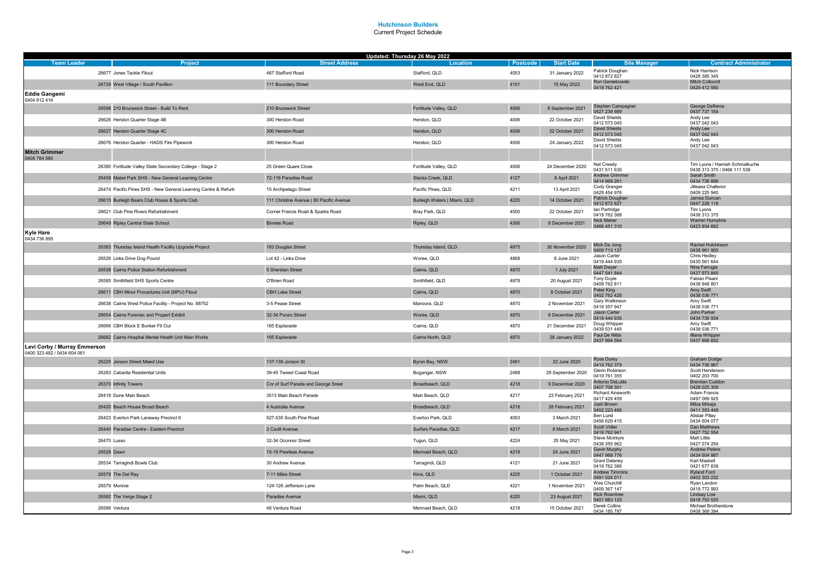|                                                             |                                                                | Updated: Thursday 26 May 2022            |                              |          |                   |                                          |                                            |
|-------------------------------------------------------------|----------------------------------------------------------------|------------------------------------------|------------------------------|----------|-------------------|------------------------------------------|--------------------------------------------|
| <b>Team Leader</b>                                          | <b>Project</b>                                                 | <b>Street Address</b>                    | <b>Location</b>              | Postcode | <b>Start Date</b> | <b>Site Manager</b>                      | <b>Contract Administrator</b>              |
|                                                             | 26677 Jones Tackle Fitout                                      | 467 Stafford Road                        | Stafford, QLD                | 4053     | 31 January 2022   | Patrick Doughan<br>0412 872 827          | Nick Harrison<br>0428 385 345              |
|                                                             | 26729 West Village / South Pavillion                           | 111 Boundary Street                      | West End, QLD                | 4101     | 15 May 2022       | Ron Gersekowski<br>0419 762 421          | <b>Mitch Collocott</b><br>0429 412 580     |
| <b>Eddie Gangemi</b><br>0404 812 416                        |                                                                |                                          |                              |          |                   |                                          |                                            |
|                                                             | 26598 210 Brunswick Street - Build To Rent                     | 210 Brunswick Street                     | Fortitude Valley, QLD        | 4006     | 8 September 2021  | Stephen Campagner<br>0427 239 989        | George Defteros<br>0437 737 154            |
|                                                             | 26626 Herston Quarter Stage 4B                                 | 300 Herston Road                         | Herston, QLD                 | 4006     | 22 October 2021   | David Shields<br>0412 573 045            | Andy Lee<br>0437 042 043                   |
|                                                             | 26627 Herston Quarter Stage 4C                                 | 300 Herston Road                         | Herston, QLD                 | 4006     | 22 October 2021   | <b>David Shields</b><br>0412 573 045     | Andy Lee<br>0437 042 043                   |
|                                                             | 26676 Herston Quarter - HADS Fire Pipework                     | 300 Herston Road                         | Herston, QLD                 | 4006     | 24 January 2022   | David Shields                            | Andy Lee                                   |
| <b>Mitch Grimmer</b>                                        |                                                                |                                          |                              |          |                   | 0412 573 045                             | 0437 042 043                               |
| 0408 784 580                                                |                                                                |                                          |                              |          |                   | Nat Creedy                               | Tim Lyons / Hamish Schmalkuche             |
|                                                             | 26390 Fortitude Valley State Secondary College - Stage 2       | 25 Green Quare Close                     | Fortitude Valley, QLD        | 4006     | 24 December 2020  | 0431 511 630                             | 0438 313 375 / 0466 111 539<br>Sarah Smith |
|                                                             | 26458 Mabel Park SHS - New General Learning Centre             | 72-116 Paradise Road                     | Slacks Creek, QLD            | 4127     | 8 April 2021      | Andrew Grimmer<br>0414 968 261           | 0434 736 896                               |
|                                                             | 26474 Pacific Pines SHS - New General Learning Centre & Refurb | 15 Archipelago Street                    | Pacific Pines, QLD           | 4211     | 13 April 2021     | Cody Granger<br>0429 454 976             | Jilleasa Challenor<br>0409 225 940         |
|                                                             | 26615 Burleigh Bears Club House & Sports Club                  | 111 Christine Avenue   80 Pacific Avenue | Burleigh Waters   Miami, QLD | 4220     | 14 October 2021   | Patrick Doughan<br>0412 872 827          | James Duncan<br>0447 228 118               |
|                                                             | 26621 Club Pine Rivers Refurbishment                           | Corner Francis Road & Sparks Road        | Bray Park, QLD               | 4500     | 22 October 2021   | lan Partridge<br>0419 762 388            | Tim Lyons<br>0438 313 375                  |
|                                                             | 26649 Ripley Central State School                              | <b>Binnies Road</b>                      | Ripley, QLD                  | 4306     | 6 December 2021   | Nick Maher<br>0466 451 310               | <b>Warren Humphris</b><br>0423 934 662     |
| <b>Kyle Hare</b><br>0434 736 895                            |                                                                |                                          |                              |          |                   |                                          |                                            |
|                                                             | 26383 Thursday Island Health Facility Upgrade Project          | 163 Douglas Street                       | Thursday Island, QLD         | 4875     | 30 November 2020  | Mick De Jong<br>0409 713 137             | Rachel Hutchinson<br>0438 961 905          |
|                                                             | 26526 Links Drive Dog Pound                                    | Lot 42 - Links Drive                     | Woree, QLD                   | 4868     | 8 June 2021       | Jason Carter<br>0419 444 935             | Chris Hedley<br>0430 561 644               |
|                                                             | 26538 Cairns Police Station Refurbishment                      | 5 Sheridan Street                        | Cairns, QLD                  | 4870     | 1 July 2021       | Matt Dwyer<br>0447 541 844               | Nina Farrugia<br>0437 973 845              |
|                                                             | 26585 Smithfield SHS Sports Centre                             | O'Brien Road                             | Smithfield, QLD              | 4878     | 20 August 2021    | <b>Tony Doyle</b><br>0409 762 811        | Fabian Pisani<br>0438 948 801              |
|                                                             | 26611 CBH Minor Procedures Unit (MPU) Fitout                   | <b>CBH Lake Street</b>                   | Cairns, QLD                  | 4870     | 8 October 2021    | Peter King<br>0402 762 428               | Amy Swift<br>0438 036 771                  |
|                                                             | 26638 Cairns West Police Facility - Project No. 88752          | 3-5 Pease Street                         | Manoora, QLD                 | 4870     | 2 November 2021   | Gary Watkinson<br>0419 357 947           | Amy Swift<br>0438 036 771                  |
|                                                             | 26654 Cairns Forensic and Propert Exhibit                      | 32-34 Ponzo Street                       | Woree, QLD                   | 4870     | 6 December 2021   | Jason Carter<br>0419 444 935             | John Parker<br>0434 736 934                |
|                                                             | 26666 CBH Block E Bunker Fit Out                               | 165 Esplanade                            | Cairns, QLD                  | 4870     | 21 December 2021  | Doug Whipper<br>0439 531 445             | Amy Swift<br>0438 036 771                  |
|                                                             | 26682 Cairns Hospital Mental Health Unit Main Works            | 165 Esplanade                            | Cairns North, QLD            | 4870     | 28 January 2022   | Paul De Nittis<br>0437 994 584           | Illiana Whipper<br>0437 906 652            |
| Levi Corby / Murray Emmerson<br>0400 323 482 / 0434 604 061 |                                                                |                                          |                              |          |                   |                                          |                                            |
|                                                             | 26225 Jonson Street Mixed Use                                  | 137-139 Jonson St                        | Byron Bay, NSW               | 2481     | 22 June 2020      | Ross Durey<br>0419 762 379               | Graham Dodge<br>0434 736 967               |
|                                                             | 26283 Cabarita Residential Units                               | 39-45 Tweed Coast Road                   | Bogangar, NSW                | 2488     | 29 September 2020 | Glenn Robinson<br>0419 761 355           | Scott Henderson<br>0402 203 700            |
|                                                             | 26370 Infinity Towers                                          | Cnr of Surf Parade and George Sreet      | Broadbeach, QLD              | 4218     | 9 December 2020   | Antonio DeLutiis<br>0407 708 301         | <b>Brendan Cuddon</b><br>0428 025 309      |
|                                                             | 26419 Dune Main Beach                                          | 3513 Main Beach Parade                   | Main Beach, QLD              | 4217     | 23 February 2021  | <b>Richard Ainsworth</b><br>0417 429 459 | Adam Francis<br>0497 069 925               |
|                                                             | 26420 Beach House Broad Beach                                  | 4 Australia Avenue                       | Broadbeach, QLD              | 4218     | 28 February 2021  | Josh Brown<br>0402 223 466               | Milos Mrkaja<br>0411 353 448               |
|                                                             | 26423 Everton Park Laneway Precinct 6                          | 527-535 South Pine Road                  | Everton Park, QLD            | 4053     | 3 March 2021      | Ben Lund<br>0456 629 415                 | Alistair Pillay<br>0434 604 077            |
|                                                             | 26440 Paradise Centre - Eastern Precinct                       | 2 Cavill Avenue                          | Surfers Paradise, QLD        | 4217     | 8 March 2021      | <b>Scott Vidler</b><br>0419 762 941      | Dan Matthews<br>0427 752 554               |
|                                                             | 26470 Lusso                                                    | 32-34 Oconnor Street                     | Tugun, QLD                   | 4224     | 25 May 2021       | <b>Steve McIntyre</b><br>0438 355 962    | Matt Little<br>0427 074 254                |
|                                                             | 26528 Dawn                                                     | 15-19 Peerless Avenue                    | Mermaid Beach, QLD           | 4218     | 24 June 2021      | Gavin Murphy<br>0447 968 776             | <b>Andrew Peters</b><br>0434 604 987       |
|                                                             | 26534 Tarragindi Bowls Club                                    | 30 Andrew Avenue                         | Tarragindi, QLD              | 4121     | 21 June 2021      | <b>Grant Delaney</b><br>0419 762 386     | Karl Maskell<br>0421 677 839               |
|                                                             | 26578 The Del Ray                                              | 7-11 Miles Street                        | Kirra, QLD                   | 4225     | 1 October 2021    | <b>Andrew Timmins</b><br>0491 024 011    | <b>Ryland Ford</b><br>0402 303 232         |
|                                                             | 26579 Monroe                                                   | 124-126 Jefferson Lane                   | Palm Beach, QLD              | 4221     | 1 November 2021   | Wes Churchill<br>0409 367 147            | Ryan Landon<br>0418 772 993                |
|                                                             | 26582 The Verge Stage 2                                        | Paradise Avenue                          | Miami, QLD                   | 4220     | 23 August 2021    | <b>Rick Rowntree</b><br>0401 983 120     | <b>Lindsay Low</b><br>0418 753 525         |
|                                                             | 26586 Ventura                                                  | 48 Ventura Road                          | Mermaid Beach, QLD           | 4218     | 15 October 2021   | Derek Collins<br>0434 185 797            | Michael Brotherstone<br>0408 369 394       |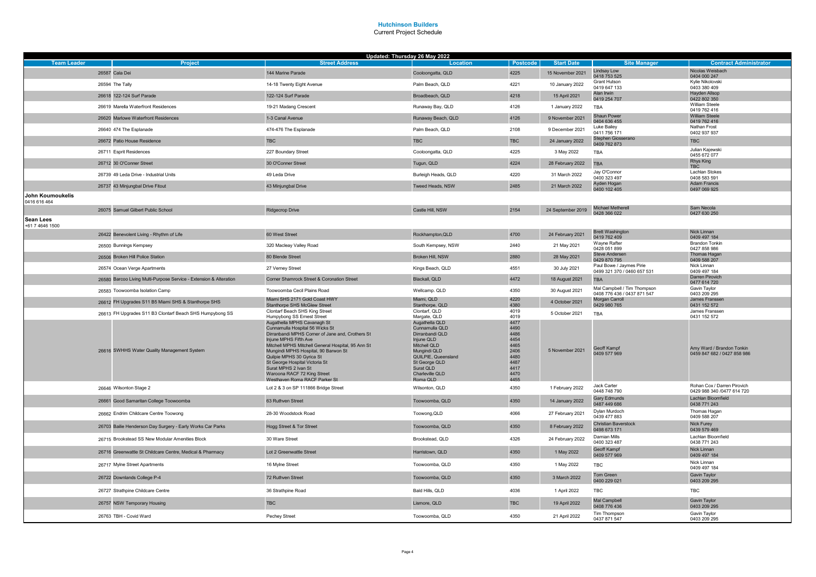|                                     |                                                                    | Updated: Thursday 26 May 2022                                                                                                                                                                                                                                                                                                                                                                    |                                                                                                                                                                                       |                                                                                      |                   |                                                            |                                                           |
|-------------------------------------|--------------------------------------------------------------------|--------------------------------------------------------------------------------------------------------------------------------------------------------------------------------------------------------------------------------------------------------------------------------------------------------------------------------------------------------------------------------------------------|---------------------------------------------------------------------------------------------------------------------------------------------------------------------------------------|--------------------------------------------------------------------------------------|-------------------|------------------------------------------------------------|-----------------------------------------------------------|
| <b>Team Leader</b>                  | <b>Project</b>                                                     | <b>Street Address</b>                                                                                                                                                                                                                                                                                                                                                                            | Location                                                                                                                                                                              | Postcode                                                                             | <b>Start Date</b> | <b>Site Manager</b><br><b>Lindsay Low</b>                  | <b>Contract Administrator</b><br>Nicolas Weisbach         |
|                                     | 26587 Cala Dei                                                     | 144 Marine Parade                                                                                                                                                                                                                                                                                                                                                                                | Cooloongatta, QLD                                                                                                                                                                     | 4225                                                                                 | 15 November 2021  | 0418 753 525<br><b>Grant Hutson</b>                        | 0404 000 247<br>Kylie Nikolovski                          |
|                                     | 26594 The Tally                                                    | 14-18 Twenty Eight Avenue                                                                                                                                                                                                                                                                                                                                                                        | Palm Beach, QLD                                                                                                                                                                       | 4221                                                                                 | 10 January 2022   | 0419 647 133                                               | 0403 380 409                                              |
|                                     | 26618 122-124 Surf Parade                                          | 122-124 Surf Parade                                                                                                                                                                                                                                                                                                                                                                              | Broadbeach, QLD                                                                                                                                                                       | 4218                                                                                 | 15 April 2021     | Alan Irwin<br>0419 254 707                                 | <b>Havden Allsop</b><br>0422 802 350                      |
|                                     | 26619 Marella Waterfront Residences                                | 19-21 Madang Crescent                                                                                                                                                                                                                                                                                                                                                                            | Runaway Bay, QLD                                                                                                                                                                      | 4126                                                                                 | 1 January 2022    | <b>TBA</b>                                                 | William Steele<br>0419 762 416                            |
|                                     | 26620 Marlowe Waterfront Residences                                | 1-3 Canal Avenue                                                                                                                                                                                                                                                                                                                                                                                 | Runaway Beach, QLD                                                                                                                                                                    | 4126                                                                                 | 9 November 2021   | Shaun Power<br>0404 636 455                                | <b>William Steele</b><br>0419 762 416                     |
|                                     | 26640 474 The Esplanade                                            | 474-476 The Esplanade                                                                                                                                                                                                                                                                                                                                                                            | Palm Beach, QLD                                                                                                                                                                       | 2108                                                                                 | 9 December 2021   | Luke Bailey<br>0411 756 171                                | Nathan Frost<br>0402 937 937                              |
|                                     | 26672 Patio House Residence                                        | <b>TBC</b>                                                                                                                                                                                                                                                                                                                                                                                       | <b>TBC</b>                                                                                                                                                                            | <b>TBC</b>                                                                           | 24 January 2022   | Stephen Giosserano<br>0409 762 873                         | <b>TBC</b>                                                |
|                                     | 26711 Esprit Residences                                            | 227 Boundary Street                                                                                                                                                                                                                                                                                                                                                                              | Cooloongatta, QLD                                                                                                                                                                     | 4225                                                                                 | 3 May 2022        | TBA                                                        | Julian Kajewski<br>0455 672 077                           |
|                                     | 26712 30 O'Conner Street                                           | 30 O'Conner Street                                                                                                                                                                                                                                                                                                                                                                               | Tugun, QLD                                                                                                                                                                            | 4224                                                                                 | 28 February 2022  | <b>TBA</b>                                                 | Rhys King<br><b>TBC</b>                                   |
|                                     | 26739 49 Leda Drive - Industrial Units                             | 49 Leda Drive                                                                                                                                                                                                                                                                                                                                                                                    | Burleigh Heads, QLD                                                                                                                                                                   | 4220                                                                                 | 31 March 2022     | Jay O'Connor<br>0400 323 497                               | Lachlan Stokes<br>0408 583 591                            |
|                                     | 26737 43 Minjungbal Drive Fitout                                   | 43 Minjungbal Drive                                                                                                                                                                                                                                                                                                                                                                              | Tweed Heads, NSW                                                                                                                                                                      | 2485                                                                                 | 21 March 2022     | Ayden Hogan<br>0400 102 405                                | <b>Adam Francis</b><br>0497 069 925                       |
| John Koumoukelis<br>0416 616 464    |                                                                    |                                                                                                                                                                                                                                                                                                                                                                                                  |                                                                                                                                                                                       |                                                                                      |                   |                                                            |                                                           |
|                                     | 26075 Samuel Gilbert Public School                                 | Ridgecrop Drive                                                                                                                                                                                                                                                                                                                                                                                  | Castle Hill, NSW                                                                                                                                                                      | 2154                                                                                 | 24 September 2019 | Michael Metherell<br>0428 366 022                          | Sam Necola<br>0427 630 250                                |
| <b>Sean Lees</b><br>+61 7 4646 1500 |                                                                    |                                                                                                                                                                                                                                                                                                                                                                                                  |                                                                                                                                                                                       |                                                                                      |                   |                                                            |                                                           |
|                                     | 26422 Benevolent Living - Rhythm of Life                           | 60 West Street                                                                                                                                                                                                                                                                                                                                                                                   | Rockhampton, QLD                                                                                                                                                                      | 4700                                                                                 | 24 February 2021  | <b>Brett Washington</b><br>0419 762 409                    | Nick Linnan<br>0409 497 184                               |
|                                     | 26500 Bunnings Kempsey                                             | 320 Macleay Valley Road                                                                                                                                                                                                                                                                                                                                                                          | South Kempsey, NSW                                                                                                                                                                    | 2440                                                                                 | 21 May 2021       | Wayne Rafter<br>0428 051 899                               | <b>Brandon Tonkin</b><br>0427 858 986                     |
|                                     | 26506 Broken Hill Police Station                                   | 80 Blende Street                                                                                                                                                                                                                                                                                                                                                                                 | Broken Hill, NSW                                                                                                                                                                      | 2880                                                                                 | 28 May 2021       | Steve Andersen<br>0429 870 795                             | Thomas Hagan<br>0409 588 207                              |
|                                     | 26574 Ocean Verge Apartments                                       | 27 Verney Street                                                                                                                                                                                                                                                                                                                                                                                 | Kings Beach, QLD                                                                                                                                                                      | 4551                                                                                 | 30 July 2021      | Paul Bowe / Jaymes Pirie<br>0499 321 370 / 0460 657 531    | Nick Linnan<br>0409 497 184                               |
|                                     | 26580 Barcoo Living Multi-Purpose Service - Extension & Alteration | Corner Shamrock Street & Coronation Street                                                                                                                                                                                                                                                                                                                                                       | Blackall, QLD                                                                                                                                                                         | 4472                                                                                 | 18 August 2021    | <b>TBA</b>                                                 | Darren Pirovich<br>0477 614 720                           |
|                                     | 26583 Toowoomba Isolation Camp                                     | Toowoomba Cecil Plains Road                                                                                                                                                                                                                                                                                                                                                                      | Wellcamp. QLD                                                                                                                                                                         | 4350                                                                                 | 30 August 2021    | Mal Campbell / Tim Thompson<br>0408 776 436 / 0437 871 547 | Gavin Taylor<br>0403 209 295                              |
|                                     | 26612 FH Upgrades S11 B5 Miami SHS & Stanthorpe SHS                | Miami SHS 2171 Gold Coast HWY<br>Stanthorpe SHS McGlew Street                                                                                                                                                                                                                                                                                                                                    | Miami, QLD<br>Stanthorpe, QLD                                                                                                                                                         | 4220<br>4380                                                                         | 4 October 2021    | <b>Morgan Carroll</b><br>0429 980 765                      | James Franssen<br>0431 152 572                            |
|                                     | 26613 FH Upgrades S11 B3 Clontarf Beach SHS Humpybong SS           | Clontarf Beach SHS King Street<br>Humpybong SS Ernest Street                                                                                                                                                                                                                                                                                                                                     | Clontarf, QLD<br>Margate, QLD                                                                                                                                                         | 4019<br>4019                                                                         | 5 October 2021    | <b>TBA</b>                                                 | James Franssen<br>0431 152 572                            |
|                                     | 26616 SWHHS Water Quality Management System                        | Augathella MPHS Cavanagh St<br>Cunnamulla Hospital 56 Wicks St<br>Dirranbandi MPHS Corner of Jane and, Crothers St<br>Injune MPHS Fifth Ave<br>Mitchell MPHS Mitchell General Hospital, 95 Ann St<br>Mungindi MPHS Hospital, 90 Barwon St<br>Quilpie MPHS 30 Gyrica St<br>St George Hospital Victoria St<br>Surat MPHS 2 Ivan St<br>Waroona RACF 72 King Street<br>Westhaven Roma RACF Parker St | Augathella QLD<br>Cunnamulla QLD<br>Dirranbandi QLD<br>Injune QLD<br>Mitchell QLD<br>Mungindi QLD<br>QUILPIE, Queensland<br>St George QLD<br>Surat QLD<br>Charleville QLD<br>Roma QLD | 4477<br>4490<br>4486<br>4454<br>4465<br>2406<br>4480<br>4487<br>4417<br>4470<br>4455 | 5 November 2021   | Geoff Kampf<br>0409 577 969                                | Amy Ward / Brandon Tonkin<br>0459 847 682 / 0427 858 986  |
|                                     | 26646 Wilsonton Stage 2                                            | Lot 2 & 3 on SP 111866 Bridge Street                                                                                                                                                                                                                                                                                                                                                             | Wilsonton, QLD                                                                                                                                                                        | 4350                                                                                 | 1 February 2022   | Jack Carter<br>0448 748 790                                | Rohan Cox / Darren Pirovich<br>0429 988 340 /0477 614 720 |
|                                     | 26661 Good Samaritan College Toowoomba                             | 63 Ruthven Street                                                                                                                                                                                                                                                                                                                                                                                | Toowoomba, QLD                                                                                                                                                                        | 4350                                                                                 | 14 January 2022   | <b>Gary Edmunds</b><br>0487 449 686                        | Lachlan Bloomfield<br>0438 771 243                        |
|                                     | 26662 Endrim Childcare Centre Toowong                              | 28-30 Woodstock Road                                                                                                                                                                                                                                                                                                                                                                             | Toowong, QLD                                                                                                                                                                          | 4066                                                                                 | 27 February 2021  | Dylan Murdoch<br>0439 477 883                              | Thomas Hagan<br>0409 588 207                              |
|                                     | 26703 Bailie Henderson Day Surgery - Early Works Car Parks         | Hogg Street & Tor Street                                                                                                                                                                                                                                                                                                                                                                         | Toowoomba, QLD                                                                                                                                                                        | 4350                                                                                 | 8 February 2022   | Christian Baverstock<br>0498 673 171                       | Nick Furey<br>0439 579 469                                |
|                                     | 26715 Brookstead SS New Modular Amenities Block                    | 30 Ware Street                                                                                                                                                                                                                                                                                                                                                                                   | Brookstead, QLD                                                                                                                                                                       | 4326                                                                                 | 24 February 2022  | Damian Mills<br>0400 323 487                               | Lachlan Bloomfield<br>0438 771 243                        |
|                                     | 26716 Greenwattle St Childcare Centre, Medical & Pharmacy          | Lot 2 Greenwattle Street                                                                                                                                                                                                                                                                                                                                                                         | Harristown, QLD                                                                                                                                                                       | 4350                                                                                 | 1 May 2022        | Geoff Kampf<br>0409 577 969                                | Nick Linnan<br>0409 497 184                               |
|                                     | 26717 Mylne Street Apartments                                      | 16 Mylne Street                                                                                                                                                                                                                                                                                                                                                                                  | Toowoomba, QLD                                                                                                                                                                        | 4350                                                                                 | 1 May 2022        | TBC                                                        | Nick Linnan<br>0409 497 184                               |
|                                     | 26722 Downlands College P-4                                        | 72 Ruthven Street                                                                                                                                                                                                                                                                                                                                                                                | Toowoomba, QLD                                                                                                                                                                        | 4350                                                                                 | 3 March 2022      | Tom Green<br>0400 229 021                                  | Gavin Taylor<br>0403 209 295                              |
|                                     | 26727 Strathpine Childcare Centre                                  | 36 Strathpine Road                                                                                                                                                                                                                                                                                                                                                                               | Bald Hills, QLD                                                                                                                                                                       | 4036                                                                                 | 1 April 2022      | <b>TBC</b>                                                 | TBC                                                       |
|                                     | 26757 NSW Temporary Housing                                        | <b>TBC</b>                                                                                                                                                                                                                                                                                                                                                                                       | Lismore, QLD                                                                                                                                                                          | <b>TBC</b>                                                                           | 19 April 2022     | Mal Campbell<br>0408 776 436                               | Gavin Taylor<br>0403 209 295                              |
|                                     | 26763 TBH - Covid Ward                                             | Pechey Street                                                                                                                                                                                                                                                                                                                                                                                    | Toowoomba, QLD                                                                                                                                                                        | 4350                                                                                 | 21 April 2022     | Tim Thompson<br>0437 871 547                               | Gavin Taylor<br>0403 209 295                              |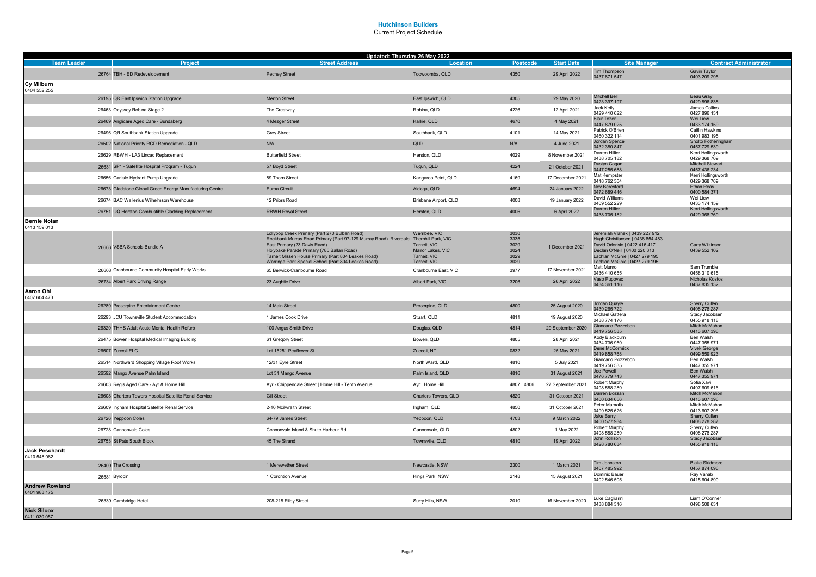| <b>Team Leader</b>                 |                                                          | Updated: Thursday 26 May 2022<br><b>Street Address</b>                                                                                | Location                         | Postcode     | <b>Start Date</b> | <b>Site Manager</b>                                            | <b>Contract Administrator</b>          |
|------------------------------------|----------------------------------------------------------|---------------------------------------------------------------------------------------------------------------------------------------|----------------------------------|--------------|-------------------|----------------------------------------------------------------|----------------------------------------|
|                                    | Project                                                  |                                                                                                                                       |                                  |              |                   | Tim Thompson                                                   | <b>Gavin Taylor</b>                    |
|                                    | 26764 TBH - ED Redevelopement                            | <b>Pechey Street</b>                                                                                                                  | Toowoomba, QLD                   | 4350         | 29 April 2022     | 0437 871 547                                                   | 0403 209 295                           |
| Cy Milburn<br>0404 552 255         |                                                          |                                                                                                                                       |                                  |              |                   |                                                                |                                        |
|                                    | 26195 QR East Ipswich Station Upgrade                    | Merton Street                                                                                                                         | East Ipswich, QLD                | 4305         | 29 May 2020       | Mitchell Bell<br>0423 397 197                                  | Beau Gray<br>0429 896 838              |
|                                    | 26463 Odyssey Robina Stage 2                             | The Crestway                                                                                                                          | Robina, QLD                      | 4226         | 12 April 2021     | Jack Keily<br>0429 410 622                                     | James Collins<br>0427 896 131          |
|                                    | 26469 Anglicare Aged Care - Bundaberg                    | 4 Mezger Street                                                                                                                       | Kalkie, QLD                      | 4670         | 4 May 2021        | <b>Blair Tozer</b>                                             | Wei Liew                               |
|                                    | 26496 QR Southbank Station Upgrade                       | <b>Grey Street</b>                                                                                                                    | Southbank, QLD                   | 4101         | 14 May 2021       | 0447 879 025<br>Patrick O'Brien                                | 0433 174 159<br><b>Caitlin Hawkins</b> |
|                                    | 26502 National Priority RCD Remediation - QLD            | N/A                                                                                                                                   | QLD                              | N/A          | 4 June 2021       | 0460 322 114<br>Jordan Spence                                  | 0401 983 195<br>Sholto Fotheringham    |
|                                    | 26629 RBWH - LA3 Lincac Replacement                      | <b>Butterfield Street</b>                                                                                                             | Herston, QLD                     | 4029         | 8 November 2021   | 0432 380 847<br>Darren Hillier                                 | 0457 729 539<br>Kerri Hollingsworth    |
|                                    | 26631 SP1 - Satellite Hospital Program - Tugun           | 57 Boyd Street                                                                                                                        | Tugun, QLD                       | 4224         | 21 October 2021   | 0438 705 182<br>Dustyn Cogan                                   | 0429 368 769<br>Mitchell Stewart       |
|                                    | 26656 Carlisle Hydrant Pump Upgrade                      | 89 Thorn Street                                                                                                                       | Kangaroo Point, QLD              | 4169         | 17 December 2021  | 0447 255 688<br>Mat Kempster                                   | 0457 436 234<br>Kerri Hollingsworth    |
|                                    | 26673 Gladstone Global Green Energy Manufacturing Centre | Euroa Circuit                                                                                                                         | Aldoga, QLD                      | 4694         | 24 January 2022   | 0418 762 364<br>Nev Beresford                                  | 0429 368 769<br>Ethan Reay             |
|                                    | 26674 BAC Wallenius Wilhelmson Warehouse                 | 12 Priors Road                                                                                                                        | Brisbane Airport, QLD            | 4008         | 19 January 2022   | 0472 689 446<br>David Williams                                 | 0400 584 371<br>Wei Liew               |
|                                    | 26751 UQ Herston Combustible Cladding Replacement        | <b>RBWH Royal Street</b>                                                                                                              | Herston, QLD                     | 4006         | 6 April 2022      | 0409 552 229<br><b>Darren Hillier</b>                          | 0433 174 159<br>Kerri Hollingsworth    |
| <b>Bernie Nolan</b>                |                                                          |                                                                                                                                       |                                  |              |                   | 0438 705 182                                                   | 0429 368 769                           |
| 0413 159 013                       |                                                          |                                                                                                                                       | Werribee, VIC                    | 3030         |                   | Jeremiah Vlahek   0439 227 912                                 |                                        |
|                                    |                                                          | Lollypop Creek Primary (Part 270 Bulban Road)<br>Rockbank Murray Road Primary (Part 97-129 Murray Road) Riverdale Thornhill Park, VIC |                                  | 3335         |                   | Hugh Christiansen   0438 854 483                               |                                        |
|                                    | 26663 VSBA Schools Bundle A                              | East Primary (23 Davis Raod)<br>Holyoake Parade Primary (785 Ballan Road)                                                             | Tarneit, VIC<br>Manor Lakes, VIC | 3029<br>3024 | 1 December 2021   | David Odorisio   0422 416 417<br>Declan O'Neill   0400 220 313 | Carly Wilkinson<br>0439 552 102        |
|                                    |                                                          | Tarneit Missen House Primary (Part 804 Leakes Road)<br>Warringa Park Special School (Part 804 Leakes Road)                            | Tarneit, VIC<br>Tarneit, VIC     | 3029<br>3029 |                   | Lachlan McGhie   0427 279 195<br>Lachlan McGhie   0427 279 195 |                                        |
|                                    | 26668 Cranbourne Community Hospital Early Works          | 65 Berwick-Cranbourne Road                                                                                                            | Cranbourne East, VIC             | 3977         | 17 November 2021  | Matt Munro<br>0436 410 655                                     | Sam Trumble<br>0458 310 615            |
|                                    | 26734 Albert Park Driving Range                          | 23 Aughtie Drive                                                                                                                      | Albert Park, VIC                 | 3206         | 26 April 2022     | Vaso Pupovac<br>0434 361 116                                   | Nicholas Kostos<br>0437 835 132        |
| Aaron Ohl                          |                                                          |                                                                                                                                       |                                  |              |                   |                                                                |                                        |
| 0407 604 473                       |                                                          |                                                                                                                                       |                                  |              |                   | Jordan Quayle                                                  | Sherry Cullen                          |
|                                    | 26289 Proserpine Entertainment Centre                    | 14 Main Street                                                                                                                        | Proserpine, QLD                  | 4800         | 25 August 2020    | 0439 265 722<br>Michael Gattera                                | 0408 278 287<br>Stacy Jacobsen         |
|                                    | 26293 JCU Townsville Student Accommodation               | 1 James Cook Drive                                                                                                                    | Stuart, QLD                      | 4811         | 19 August 2020    | 0438 774 176                                                   | 0455 918 118                           |
|                                    | 26320 THHS Adult Acute Mental Health Refurb              | 100 Angus Smith Drive                                                                                                                 | Douglas, QLD                     | 4814         | 29 September 2020 | Giancarlo Pozzebon<br>0419 756 535                             | Mitch McMahon<br>0413 607 396          |
|                                    | 26475 Bowen Hospital Medical Imaging Building            | 61 Gregory Street                                                                                                                     | Bowen, QLD                       | 4805         | 28 April 2021     | Kody Blackburn<br>0434 736 959                                 | Ben Walsh<br>0447 355 971              |
|                                    | 26507 Zuccoli ELC                                        | Lot 15251 Peaflower St                                                                                                                | Zuccoli, NT                      | 0832         | 25 May 2021       | Dene McCormick<br>0419 858 768                                 | <b>Vivek George</b><br>0499 559 923    |
|                                    | 26514 Northward Shopping Village Roof Works              | 12/31 Eyre Street                                                                                                                     | North Ward, QLD                  | 4810         | 5 July 2021       | Giancarlo Pozzebon<br>0419 756 535                             | Ben Walsh<br>0447 355 971              |
|                                    | 26592 Mango Avenue Palm Island                           | Lot 31 Mango Avenue                                                                                                                   | Palm Island, QLD                 | 4816         | 31 August 2021    | Joe Powell<br>0476 779 743                                     | Ben Walsh<br>0447 355 971              |
|                                    | 26603 Regis Aged Care - Ayr & Home Hill                  | Ayr - Chippendale Street   Home Hill - Tenth Avenue                                                                                   | Ayr   Home Hill                  | 4807   4806  | 27 September 2021 | Robert Murphy<br>0498 588 289                                  | Sofia Xavi<br>0497 609 616             |
|                                    | 26608 Charters Towers Hospital Satellite Renal Service   | <b>Gill Street</b>                                                                                                                    | Charters Towers, QLD             | 4820         | 31 October 2021   | Darren Bozsan<br>0400 634 656                                  | Mitch McMahon<br>0413 607 396          |
|                                    | 26609 Ingham Hospital Satellite Renal Service            | 2-16 Mcilwraith Street                                                                                                                | Ingham, QLD                      | 4850         | 31 October 2021   | Peter Mamalis<br>0499 525 626                                  | Mitch McMahon<br>0413 607 396          |
|                                    | 26726 Yeppoon Coles                                      | 64-79 James Street                                                                                                                    | Yeppoon, QLD                     | 4703         | 9 March 2022      | <b>Jake Barry</b><br>0400 577 984                              | Sherry Cullen<br>0408 278 287          |
|                                    | 26728 Cannonvale Coles                                   | Connonvale Island & Shute Harbour Rd                                                                                                  | Cannonvale, QLD                  | 4802         | 1 May 2022        | Robert Murphy<br>0498 588 289                                  | Sherry Cullen<br>0408 278 287          |
|                                    | 26753 St Pats South Block                                | 45 The Strand                                                                                                                         | Townsville, QLD                  | 4810         | 19 April 2022     | John Rollison<br>0428 780 634                                  | Stacy Jacobsen<br>0455 918 118         |
| <b>Jack Peschardt</b>              |                                                          |                                                                                                                                       |                                  |              |                   |                                                                |                                        |
| 0410 548 082                       | 26409 The Crossing                                       | 1 Merewether Street                                                                                                                   | Newcastle, NSW                   | 2300         | 1 March 2021      | Tim Johnston                                                   | <b>Blake Skidmore</b>                  |
|                                    |                                                          | 1 Corontion Avenue                                                                                                                    |                                  | 2148         | 15 August 2021    | 0407 485 992<br>Dominic Bauer                                  | 0457 874 096<br>Ray Vahab              |
| <b>Andrew Rowland</b>              | 26581 Byropin                                            |                                                                                                                                       | Kings Park, NSW                  |              |                   | 0402 546 505                                                   | 0415 604 890                           |
| 0401 983 175                       |                                                          |                                                                                                                                       |                                  |              |                   |                                                                |                                        |
|                                    | 26339 Cambridge Hotel                                    | 208-218 Riley Street                                                                                                                  | Surry Hills, NSW                 | 2010         | 16 November 2020  | Luke Cagliarini<br>0438 884 316                                | Liam O'Conner<br>0498 508 631          |
| <b>Nick Silcox</b><br>0411 030 057 |                                                          |                                                                                                                                       |                                  |              |                   |                                                                |                                        |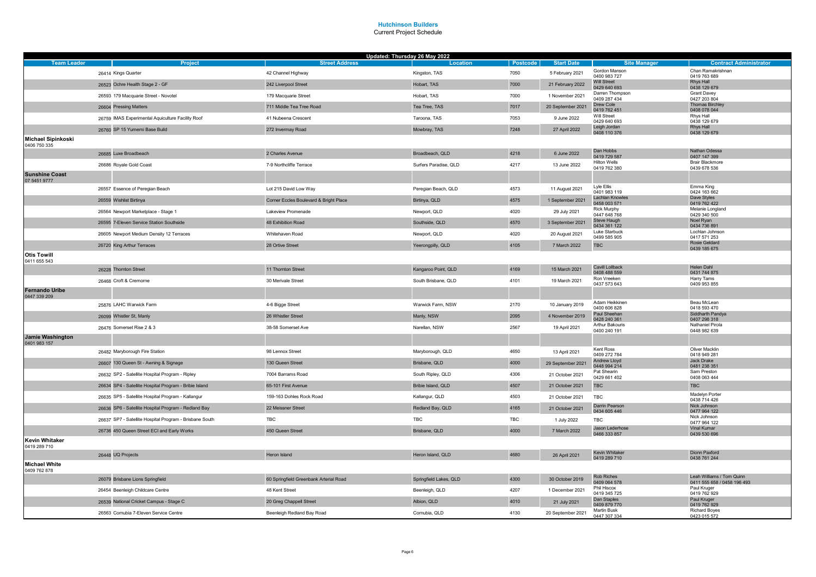|                                           |                                                         | Updated: Thursday 26 May 2022          |                        |            |                   |                                        |                                        |
|-------------------------------------------|---------------------------------------------------------|----------------------------------------|------------------------|------------|-------------------|----------------------------------------|----------------------------------------|
| <b>Team Leader</b>                        | Project                                                 | <b>Street Address</b>                  | Location               | Postcode   | <b>Start Date</b> | <b>Site Manager</b>                    | <b>Contract Administrator</b>          |
|                                           | 26414 Kings Quarter                                     | 42 Channel Highway                     | Kingston, TAS          | 7050       | 5 February 2021   | Gordon Manson<br>0400 983 727          | Chan Ramakrishnan<br>0419 763 689      |
|                                           | 26523 Ochre Health Stage 2 - GF                         | 242 Liverpool Street                   | Hobart, TAS            | 7000       | 21 February 2022  | Will Street<br>0429 640 693            | Rhys Hall<br>0438 129 679              |
|                                           | 26593 179 Macquarie Street - Novotel                    | 179 Macquarie Street                   | Hobart, TAS            | 7000       | 1 November 2021   | Darren Thompson<br>0409 287 434        | <b>Grant Davey</b><br>0427 203 804     |
|                                           | 26604 Pressing Matters                                  | 711 Middle Tea Tree Road               | Tea Tree, TAS          | 7017       | 20 September 2021 | Drew Cole<br>0419 762 451              | <b>Thomas Birchley</b><br>0408 078 044 |
|                                           | 26759 IMAS Experimental Aquiculture Facility Roof       | 41 Nubeena Crescent                    | Taroona, TAS           | 7053       | 9 June 2022       | Will Street<br>0429 640 693            | Rhys Hall<br>0438 129 679              |
|                                           | 26760 SP 15 Yumemi Base Build                           | 272 Invermay Road                      | Mowbray, TAS           | 7248       | 27 April 2022     | Leigh Jordan<br>0408 110 376           | Rhys Hall<br>0438 129 679              |
| <b>Michael Sipinkoski</b><br>0406 750 335 |                                                         |                                        |                        |            |                   |                                        |                                        |
|                                           | 26685 Luxe Broadbeach                                   | 2 Charles Avenue                       | Broadbeach, QLD        | 4218       | 6 June 2022       | Dan Hobbs<br>0419 729 587              | Nathan Odessa<br>0407 147 399          |
|                                           | 26686 Royale Gold Coast                                 | 7-9 Northcliffe Terrace                | Surfers Paradise, QLD  | 4217       | 13 June 2022      | <b>Hilton Wells</b><br>0419 762 380    | Brair Blackmore<br>0439 678 536        |
| <b>Sunshine Coast</b><br>07 5451 9777     |                                                         |                                        |                        |            |                   |                                        |                                        |
|                                           | 26557 Essence of Peregian Beach                         | Lot 215 David Low Way                  | Peregian Beach, QLD    | 4573       | 11 August 2021    | Lyle Ellis<br>0401 983 119             | Emma King<br>0424 163 662              |
|                                           | 26559 Wishlist Birtinya                                 | Corner Eccles Boulevard & Bright Place | Birtinya, QLD          | 4575       | 1 September 2021  | <b>Lachlan Knowles</b><br>0458 003 571 | Dave Styles<br>0419 762 422            |
|                                           | 26564 Newport Marketplace - Stage 1                     | Lakeview Promenade                     | Newport, QLD           | 4020       | 29 July 2021      | <b>Rick Murphy</b><br>0447 648 768     | Melanie Longland<br>0429 340 500       |
|                                           | 26595 7-Eleven Service Station Southside                | 48 Exhibition Road                     | Southside, QLD         | 4570       | 3 September 2021  | Steve Haugh<br>0434 361 122            | Noel Ryan<br>0434 736 891              |
|                                           | 26605 Newport Medium Density 12 Terraces                | Whitehaven Road                        | Newport, QLD           | 4020       | 20 August 2021    | Luke Starbuck<br>0499 585 905          | Lochlan Johnson<br>0417 571 253        |
|                                           | 26720 King Arthur Terraces                              | 28 Ortive Street                       | Yeerongpilly, QLD      | 4105       | 7 March 2022      | <b>TBC</b>                             | Rosie Geldard<br>0439 185 675          |
| <b>Otis Towill</b><br>0411 655 543        |                                                         |                                        |                        |            |                   |                                        |                                        |
|                                           | 26228 Thornton Street                                   | 11 Thornton Street                     | Kangaroo Point, QLD    | 4169       | 15 March 2021     | Cavill Lollback<br>0408 488 559        | Helen Dahl<br>0431 744 875             |
|                                           | 26468 Croft & Cremorne                                  | 30 Merivale Street                     | South Brisbane, QLD    | 4101       | 19 March 2021     | Ron Vreeken<br>0437 573 643            | Harry Tams<br>0409 953 855             |
| <b>Fernando Uribe</b><br>0447 339 209     |                                                         |                                        |                        |            |                   |                                        |                                        |
|                                           | 25876 LAHC Warwick Farm                                 | 4-6 Bigge Street                       | Warwick Farm, NSW      | 2170       | 10 January 2019   | Adam Heikkinen<br>0400 606 828         | Beau McLean<br>0418 593 470            |
|                                           | 26099 Whistler St, Manly                                | 26 Whistler Street                     | Manly, NSW             | 2095       | 4 November 2019   | Paul Sheehan<br>0428 240 361           | Siddharth Pandya<br>0407 298 318       |
|                                           | 26476 Somerset Rise 2 & 3                               | 38-58 Somerset Ave                     | Narellan, NSW          | 2567       | 19 April 2021     | Arthur Bakouris<br>0400 240 191        | Nathaniel Pirola                       |
| Jamie Washington                          |                                                         |                                        |                        |            |                   |                                        | 0448 982 639                           |
| 0401 983 157                              | 26482 Maryborough Fire Station                          | 98 Lennox Street                       | Maryborough, QLD       | 4650       | 13 April 2021     | Kent Ross<br>0409 272 784              | Oliver Macklin<br>0418 949 281         |
|                                           | 26607 130 Queen St - Awning & Signage                   | 130 Queen Street                       | Brisbane, QLD          | 4000       | 29 September 2021 | Andrew Lloyd                           | Jack Drake                             |
|                                           | 26632 SP2 - Satellite Hospital Program - Ripley         | 7004 Barrams Road                      | South Ripley, QLD      | 4306       | 21 October 2021   | 0448 994 214<br>Pat Shearin            | 0481 238 351<br>Sam Preston            |
|                                           | 26634 SP4 - Satellite Hospital Program - Bribie Island  | 65-101 First Avenue                    | Bribie Island, QLD     | 4507       | 21 October 2021   | 0429 661 402<br><b>TBC</b>             | 0408 063 444<br>TBC                    |
|                                           | 26635 SP5 - Satellite Hospital Program - Kallangur      | 159-163 Dohles Rock Road               | Kallangur, QLD         | 4503       | 21 October 2021   | <b>TBC</b>                             | Madelyn Porter                         |
|                                           | 26636 SP6 - Satellite Hospital Program - Redland Bay    | 22 Meissner Street                     | Redland Bay, QLD       | 4165       | 21 October 2021   | Darrin Pearson                         | 0438 714 426<br>Nick Johnson           |
|                                           | 26637 SP7 - Satellite Hospital Program - Brisbane South | <b>TBC</b>                             | <b>TBC</b>             | <b>TBC</b> | 1 July 2022       | 0434 605 446<br><b>TBC</b>             | 0477 964 122<br>Nick Johnson           |
|                                           | 26736 450 Queen Street ECI and Early Works              | 450 Queen Street                       | Brisbane, QLD          | 4000       | 7 March 2022      | Jason Lederhose                        | 0477 964 122<br>Vinal Kumar            |
| <b>Kevin Whitaker</b>                     |                                                         |                                        |                        |            |                   | 0466 333 857                           | 0439 530 696                           |
| 0419 289 710                              | 26448 UQ Projects                                       | Heron Island                           | Heron Island, QLD      | 4680       | 26 April 2021     | Kevin Whitaker                         | Dionn Paxford                          |
| <b>Michael White</b>                      |                                                         |                                        |                        |            |                   | 0419 289 710                           | 0438 761 244                           |
| 0409 762 878                              |                                                         |                                        |                        |            |                   | Rob Riches                             | Leah Williams / Tom Quinn              |
|                                           | 26079 Brisbane Lions Springfield                        | 60 Springfield Greenbank Arterial Road | Springfield Lakes, QLD | 4300       | 30 October 2019   | 0409 064 578                           | 0411 555 658 / 0458 196 493            |
|                                           | 26454 Beenleigh Childcare Centre                        | 48 Kent Street                         | Beenleigh, QLD         | 4207       | 1 December 2021   | Phil Hiscox<br>0419 345 725            | Paul Kruger<br>0419 762 929            |
|                                           | 26539 National Cricket Campus - Stage C                 | 20 Greg Chappell Street                | Albion, QLD            | 4010       | 21 July 2021      | Dan Staples<br>0409 879 770            | Paul Kruger<br>0419 762 929            |
|                                           | 26563 Cornubia 7-Eleven Service Centre                  | Beenleigh Redland Bay Road             | Cornubia, QLD          | 4130       | 20 September 2021 | Martin Busk<br>0447 307 334            | <b>Richard Boyes</b><br>0423 015 572   |